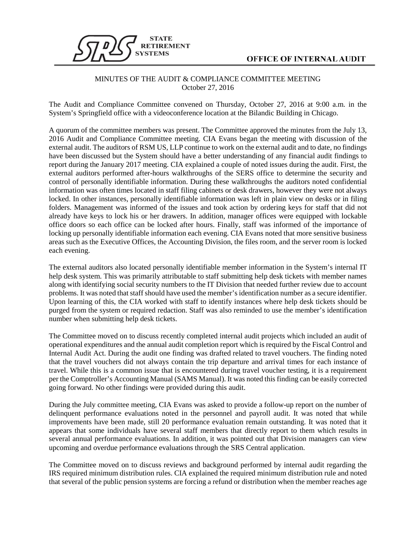

## MINUTES OF THE AUDIT & COMPLIANCE COMMITTEE MEETING October 27, 2016

The Audit and Compliance Committee convened on Thursday, October 27, 2016 at 9:00 a.m. in the System's Springfield office with a videoconference location at the Bilandic Building in Chicago.

A quorum of the committee members was present. The Committee approved the minutes from the July 13, 2016 Audit and Compliance Committee meeting. CIA Evans began the meeting with discussion of the external audit. The auditors of RSM US, LLP continue to work on the external audit and to date, no findings have been discussed but the System should have a better understanding of any financial audit findings to report during the January 2017 meeting. CIA explained a couple of noted issues during the audit. First, the external auditors performed after-hours walkthroughs of the SERS office to determine the security and control of personally identifiable information. During these walkthroughs the auditors noted confidential information was often times located in staff filing cabinets or desk drawers, however they were not always locked. In other instances, personally identifiable information was left in plain view on desks or in filing folders. Management was informed of the issues and took action by ordering keys for staff that did not already have keys to lock his or her drawers. In addition, manager offices were equipped with lockable office doors so each office can be locked after hours. Finally, staff was informed of the importance of locking up personally identifiable information each evening. CIA Evans noted that more sensitive business areas such as the Executive Offices, the Accounting Division, the files room, and the server room is locked each evening.

The external auditors also located personally identifiable member information in the System's internal IT help desk system. This was primarily attributable to staff submitting help desk tickets with member names along with identifying social security numbers to the IT Division that needed further review due to account problems. It was noted that staff should have used the member's identification number as a secure identifier. Upon learning of this, the CIA worked with staff to identify instances where help desk tickets should be purged from the system or required redaction. Staff was also reminded to use the member's identification number when submitting help desk tickets.

The Committee moved on to discuss recently completed internal audit projects which included an audit of operational expenditures and the annual audit completion report which is required by the Fiscal Control and Internal Audit Act. During the audit one finding was drafted related to travel vouchers. The finding noted that the travel vouchers did not always contain the trip departure and arrival times for each instance of travel. While this is a common issue that is encountered during travel voucher testing, it is a requirement per the Comptroller's Accounting Manual (SAMS Manual). It was noted this finding can be easily corrected going forward. No other findings were provided during this audit.

During the July committee meeting, CIA Evans was asked to provide a follow-up report on the number of delinquent performance evaluations noted in the personnel and payroll audit. It was noted that while improvements have been made, still 20 performance evaluation remain outstanding. It was noted that it appears that some individuals have several staff members that directly report to them which results in several annual performance evaluations. In addition, it was pointed out that Division managers can view upcoming and overdue performance evaluations through the SRS Central application.

The Committee moved on to discuss reviews and background performed by internal audit regarding the IRS required minimum distribution rules. CIA explained the required minimum distribution rule and noted that several of the public pension systems are forcing a refund or distribution when the member reaches age